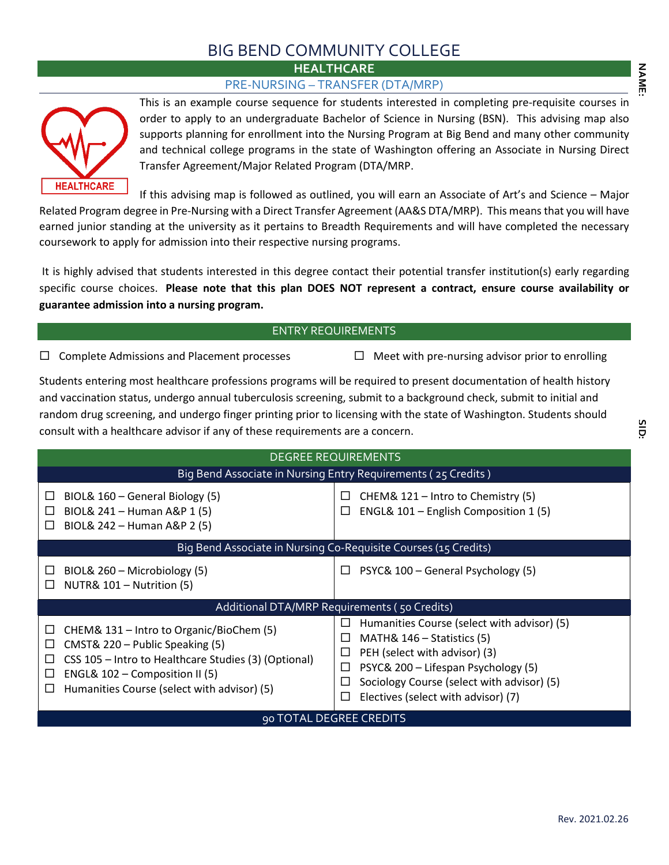## BIG BEND COMMUNITY COLLEGE

**HEALTHCARE**

## PRE-NURSING – TRANSFER (DTA/MRP)



This is an example course sequence for students interested in completing pre-requisite courses in order to apply to an undergraduate Bachelor of Science in Nursing (BSN). This advising map also supports planning for enrollment into the Nursing Program at Big Bend and many other community and technical college programs in the state of Washington offering an Associate in Nursing Direct Transfer Agreement/Major Related Program (DTA/MRP.

If this advising map is followed as outlined, you will earn an Associate of Art's and Science – Major Related Program degree in Pre-Nursing with a Direct Transfer Agreement (AA&S DTA/MRP). This means that you will have earned junior standing at the university as it pertains to Breadth Requirements and will have completed the necessary coursework to apply for admission into their respective nursing programs.

It is highly advised that students interested in this degree contact their potential transfer institution(s) early regarding specific course choices. **Please note that this plan DOES NOT represent a contract, ensure course availability or guarantee admission into a nursing program.**

## ENTRY REQUIREMENTS

 $\Box$  Complete Admissions and Placement processes  $\Box$  Meet with pre-nursing advisor prior to enrolling

Students entering most healthcare professions programs will be required to present documentation of health history and vaccination status, undergo annual tuberculosis screening, submit to a background check, submit to initial and random drug screening, and undergo finger printing prior to licensing with the state of Washington. Students should consult with a healthcare advisor if any of these requirements are a concern.

| <b>DEGREE REQUIREMENTS</b>                                                                                                                                                                                                                                 |                                                                                                                                                                                                                                                                      |  |  |  |  |  |
|------------------------------------------------------------------------------------------------------------------------------------------------------------------------------------------------------------------------------------------------------------|----------------------------------------------------------------------------------------------------------------------------------------------------------------------------------------------------------------------------------------------------------------------|--|--|--|--|--|
| Big Bend Associate in Nursing Entry Requirements (25 Credits)                                                                                                                                                                                              |                                                                                                                                                                                                                                                                      |  |  |  |  |  |
| BIOL& 160 - General Biology (5)<br>ப<br>BIOL& 241 - Human A&P 1 (5)<br>$\mathbb{R}^n$<br>BIOL& 242 - Human A&P 2 (5)<br>П                                                                                                                                  | CHEM& 121 - Intro to Chemistry (5)<br>$\Box$<br>ENGL& 101 - English Composition 1 (5)<br>$\mathbb{R}^n$                                                                                                                                                              |  |  |  |  |  |
| Big Bend Associate in Nursing Co-Requisite Courses (15 Credits)                                                                                                                                                                                            |                                                                                                                                                                                                                                                                      |  |  |  |  |  |
| BIOL& 260 - Microbiology (5)<br>ப<br>NUTR& 101 - Nutrition (5)<br>Ш                                                                                                                                                                                        | PSYC& 100 - General Psychology (5)<br>$\Box$                                                                                                                                                                                                                         |  |  |  |  |  |
| Additional DTA/MRP Requirements (50 Credits)                                                                                                                                                                                                               |                                                                                                                                                                                                                                                                      |  |  |  |  |  |
| CHEM& 131 – Intro to Organic/BioChem (5)<br>ப<br>CMST& 220 - Public Speaking (5)<br>ப<br>CSS 105 – Intro to Healthcare Studies (3) (Optional)<br>ш<br>ENGL& 102 - Composition II (5)<br>$\mathbb{R}^n$<br>Humanities Course (select with advisor) (5)<br>П | Humanities Course (select with advisor) (5)<br>$\Box$<br>MATH& 146 - Statistics (5)<br>PEH (select with advisor) (3)<br>PSYC& 200 - Lifespan Psychology (5)<br>ப<br>Sociology Course (select with advisor) (5)<br>$\Box$<br>П<br>Electives (select with advisor) (7) |  |  |  |  |  |
| 90 TOTAL DEGREE CREDITS                                                                                                                                                                                                                                    |                                                                                                                                                                                                                                                                      |  |  |  |  |  |

**NAME:**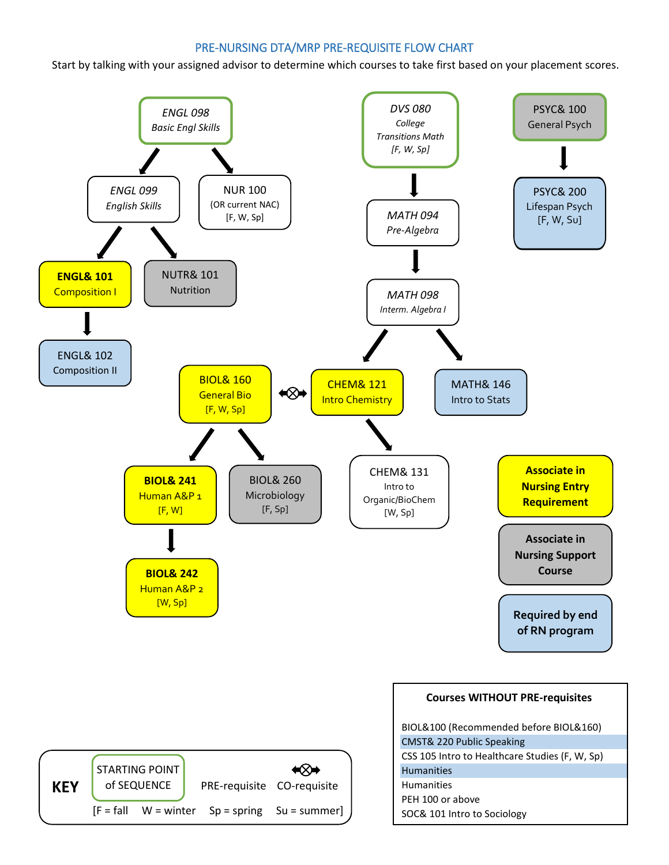## PRE-NURSING DTA/MRP PRE-REQUISITE FLOW CHART

Start by talking with your assigned advisor to determine which courses to take first based on your placement scores.

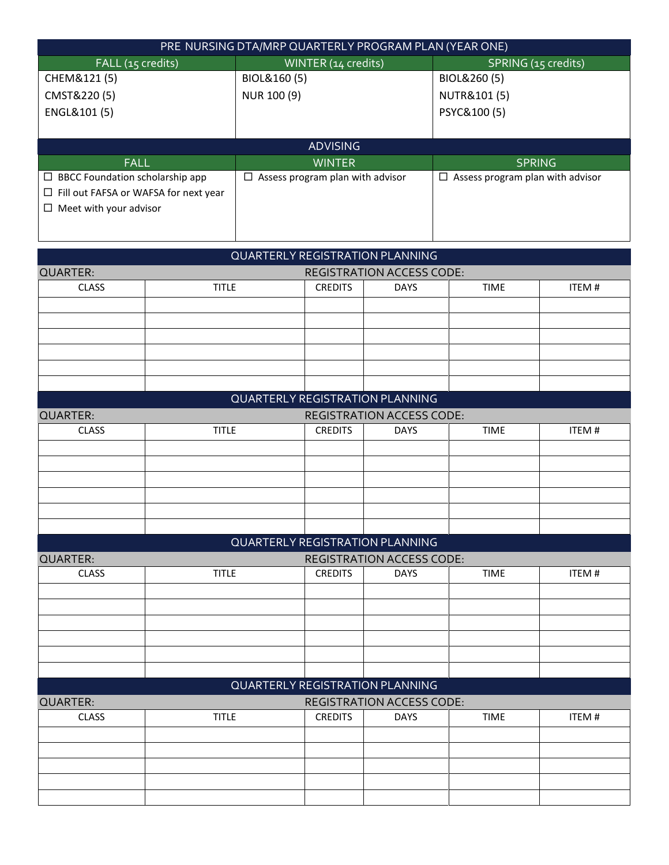| PRE NURSING DTA/MRP QUARTERLY PROGRAM PLAN (YEAR ONE) |                                       |                                            |  |  |  |
|-------------------------------------------------------|---------------------------------------|--------------------------------------------|--|--|--|
| FALL (15 credits)                                     | WINTER (14 credits)                   | SPRING (15 credits)                        |  |  |  |
| CHEM&121 (5)                                          | BIOL&160(5)                           | BIOL&260 (5)                               |  |  |  |
| CMST&220(5)                                           | NUR 100 (9)                           | NUTR&101 (5)                               |  |  |  |
| ENGL&101 (5)                                          |                                       | PSYC&100 (5)                               |  |  |  |
|                                                       |                                       |                                            |  |  |  |
| <b>ADVISING</b>                                       |                                       |                                            |  |  |  |
| <b>FALL</b>                                           | <b>WINTER</b>                         | <b>SPRING</b>                              |  |  |  |
| $\Box$ BBCC Foundation scholarship app                | Assess program plan with advisor<br>□ | Assess program plan with advisor<br>$\Box$ |  |  |  |
| $\Box$ Fill out FAFSA or WAFSA for next year          |                                       |                                            |  |  |  |
| Meet with your advisor                                |                                       |                                            |  |  |  |

|                                                     |              | <b>QUARTERLY REGISTRATION PLANNING</b> |                                  |             |       |
|-----------------------------------------------------|--------------|----------------------------------------|----------------------------------|-------------|-------|
| <b>QUARTER:</b><br><b>REGISTRATION ACCESS CODE:</b> |              |                                        |                                  |             |       |
| <b>CLASS</b>                                        | <b>TITLE</b> | <b>CREDITS</b>                         | <b>DAYS</b>                      | <b>TIME</b> | ITEM# |
|                                                     |              |                                        |                                  |             |       |
|                                                     |              |                                        |                                  |             |       |
|                                                     |              |                                        |                                  |             |       |
|                                                     |              |                                        |                                  |             |       |
|                                                     |              |                                        |                                  |             |       |
|                                                     |              |                                        |                                  |             |       |
|                                                     |              | <b>QUARTERLY REGISTRATION PLANNING</b> |                                  |             |       |
| QUARTER:                                            |              |                                        | <b>REGISTRATION ACCESS CODE:</b> |             |       |
| <b>CLASS</b>                                        | <b>TITLE</b> | <b>CREDITS</b>                         | <b>DAYS</b>                      | <b>TIME</b> | ITEM# |
|                                                     |              |                                        |                                  |             |       |
|                                                     |              |                                        |                                  |             |       |
|                                                     |              |                                        |                                  |             |       |
|                                                     |              |                                        |                                  |             |       |
|                                                     |              |                                        |                                  |             |       |
|                                                     |              |                                        |                                  |             |       |
|                                                     |              | QUARTERLY REGISTRATION PLANNING        |                                  |             |       |
| <b>QUARTER:</b>                                     |              |                                        | <b>REGISTRATION ACCESS CODE:</b> |             |       |
| <b>CLASS</b>                                        | <b>TITLE</b> | <b>CREDITS</b>                         | <b>DAYS</b>                      | <b>TIME</b> | ITEM# |
|                                                     |              |                                        |                                  |             |       |
|                                                     |              |                                        |                                  |             |       |
|                                                     |              |                                        |                                  |             |       |
|                                                     |              |                                        |                                  |             |       |
|                                                     |              |                                        |                                  |             |       |
|                                                     |              |                                        |                                  |             |       |
|                                                     |              | <b>QUARTERLY REGISTRATION PLANNING</b> |                                  |             |       |
| <b>QUARTER:</b>                                     |              |                                        | <b>REGISTRATION ACCESS CODE:</b> |             |       |
| <b>CLASS</b>                                        | <b>TITLE</b> | <b>CREDITS</b>                         | <b>DAYS</b>                      | <b>TIME</b> | ITEM# |
|                                                     |              |                                        |                                  |             |       |
|                                                     |              |                                        |                                  |             |       |
|                                                     |              |                                        |                                  |             |       |
|                                                     |              |                                        |                                  |             |       |
|                                                     |              |                                        |                                  |             |       |